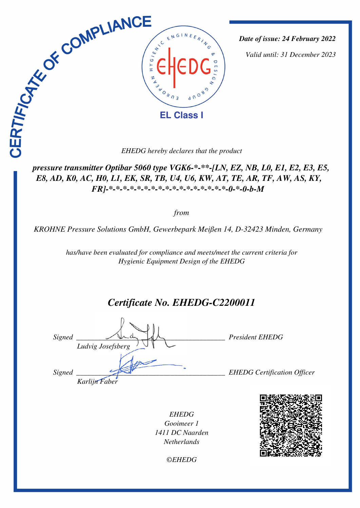

*Date of issue: 24 February 2022*

*Valid until: 31 December 2023*

 *pressure transmitter Optibar 5060 type VGK6-\*-\*\*-[LN, EZ, NB, L0, E1, E2, E3, E5, E8, AD, K0, AC, H0, L1, EK, SR, TB, U4, U6, KW, AT, TE, AR, TF, AW, AS, KY, FR]-\*-\*-\*-\*-\*-\*-\*-\*-\*-\*-\*-\*-\*-\*-\*-\*-\*-0-\*-0-b-M* 

*from*

*KROHNE Pressure Solutions GmbH, Gewerbepark Meißen 14, D-32423 Minden, Germany* 

*has/have been evaluated for compliance and meets/meet the current criteria for Hygienic Equipment Design of the EHEDG*

# *Certificate No. EHEDG-C2200011*

*Signed \_\_\_\_\_\_\_\_\_\_\_\_\_\_\_\_\_\_\_\_\_\_\_\_\_\_\_\_\_\_\_\_\_\_\_\_\_\_\_\_\_ President EHEDG Ludvig Josefsberg Signed \_\_\_\_\_\_\_\_\_\_\_\_\_\_\_\_\_\_\_\_\_\_\_\_\_\_\_\_\_\_\_\_\_\_\_\_\_\_\_\_\_ EHEDG Certification Officer Karlijn Faber*

*EHEDG Gooimeer 1 1411 DC Naarden Netherlands*

*©EHEDG*

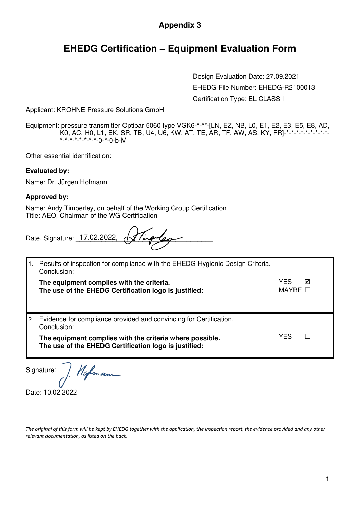### **Appendix 3**

### **EHEDG Certification – Equipment Evaluation Form**

 Design Evaluation Date: 27.09.2021 EHEDG File Number: EHEDG-R2100013 Certification Type: EL CLASS I

Applicant: KROHNE Pressure Solutions GmbH

Equipment: pressure transmitter Optibar 5060 type VGK6-\*-\*\*-[LN, EZ, NB, L0, E1, E2, E3, E5, E8, AD, K0, AC, H0, L1, EK, SR, TB, U4, U6, KW, AT, TE, AR, TF, AW, AS, KY, FR]-\*-\*-\*-\*-\*-\*-\*-\*-\*- \*-\*-\*-\*-\*-\*-\*-\*-0-\*-0-b-M

Other essential identification:

#### **Evaluated by:**

Name: Dr. Jürgen Hofmann

#### **Approved by:**

Name: Andy Timperley, on behalf of the Working Group Certification Title: AEO, Chairman of the WG Certification

| Date, Signature: 17.02.2022, 18 Timp les |  |  |
|------------------------------------------|--|--|
|                                          |  |  |

|    | Results of inspection for compliance with the EHEDG Hygienic Design Criteria.<br>Conclusion:       |                        |   |
|----|----------------------------------------------------------------------------------------------------|------------------------|---|
|    | The equipment complies with the criteria.<br>The use of the EHEDG Certification logo is justified: | YES<br>MAYBE $\square$ | ⊠ |
| 2. | Evidence for compliance provided and convincing for Certification.<br>Conclusion:                  |                        |   |
|    | The equipment complies with the criteria where possible.                                           | YES                    |   |

Signature:

Hofman

Date: 10.02.2022

*The original of this form will be kept by EHEDG together with the application, the inspection report, the evidence provided and any other relevant documentation, as listed on the back.*